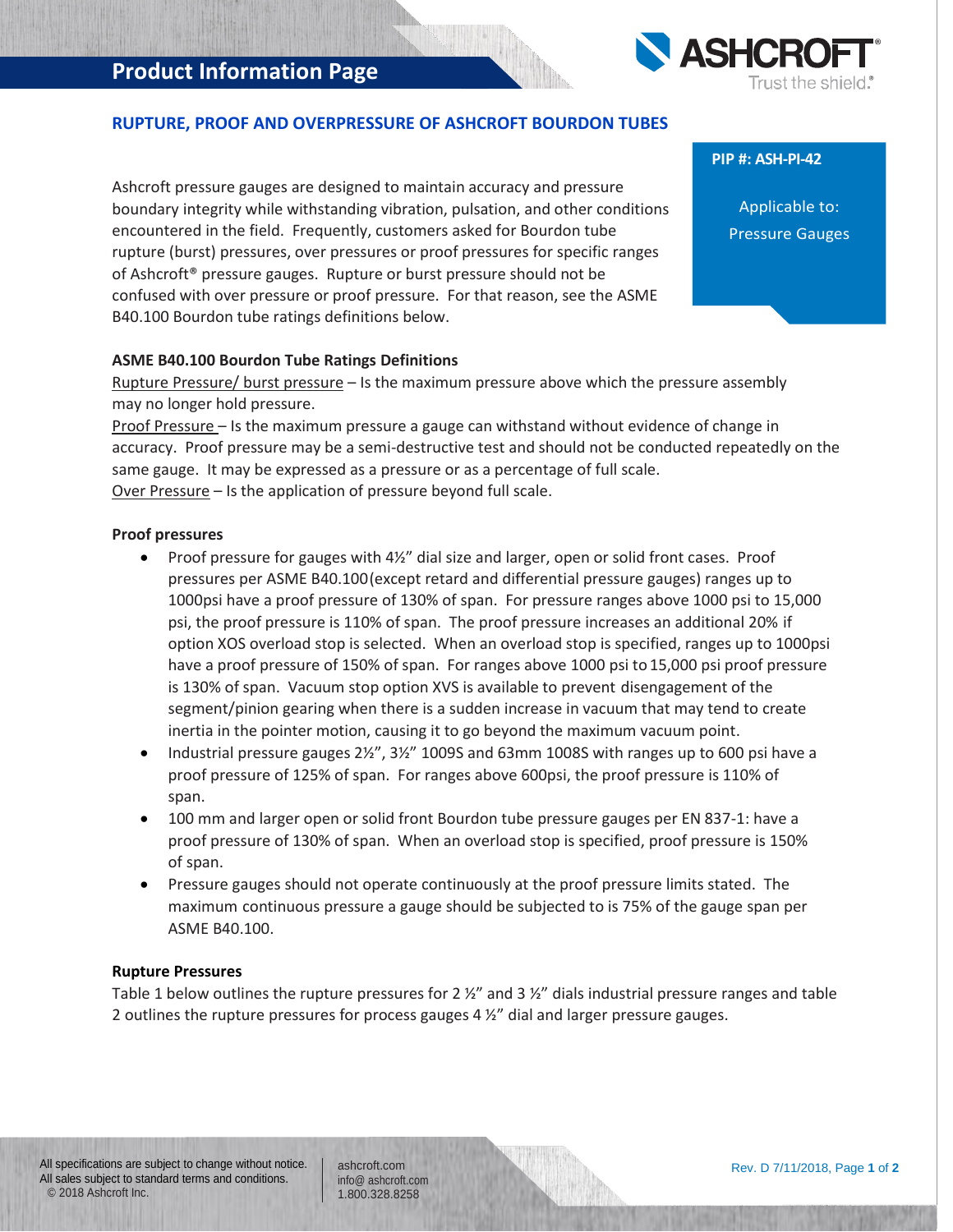## **Product Information Page**



### **RUPTURE, PROOF AND OVERPRESSURE OF ASHCROFT BOURDON TUBES**

Ashcroft pressure gauges are designed to maintain accuracy and pressure boundary integrity while withstanding vibration, pulsation, and other conditions encountered in the field. Frequently, customers asked for Bourdon tube rupture (burst) pressures, over pressures or proof pressures for specific ranges of Ashcroft® pressure gauges. Rupture or burst pressure should not be confused with over pressure or proof pressure. For that reason, see the ASME B40.100 Bourdon tube ratings definitions below.

#### **PIP #: ASH-PI-42**

Applicable to: Pressure Gauges

#### **ASME B40.100 Bourdon Tube Ratings Definitions**

Rupture Pressure/ burst pressure - Is the maximum pressure above which the pressure assembly may no longer hold pressure.

Proof Pressure – Is the maximum pressure a gauge can withstand without evidence of change in accuracy. Proof pressure may be a semi-destructive test and should not be conducted repeatedly on the same gauge. It may be expressed as a pressure or as a percentage of full scale. Over Pressure – Is the application of pressure beyond full scale.

#### **Proof pressures**

- Proof pressure for gauges with 4½" dial size and larger, open or solid front cases. Proof pressures per ASME B40.100(except retard and differential pressure gauges) ranges up to 1000psi have a proof pressure of 130% of span. For pressure ranges above 1000 psi to 15,000 psi, the proof pressure is 110% of span. The proof pressure increases an additional 20% if option XOS overload stop is selected. When an overload stop is specified, ranges up to 1000psi have a proof pressure of 150% of span. For ranges above 1000 psi to 15,000 psi proof pressure is 130% of span. Vacuum stop option XVS is available to prevent disengagement of the segment/pinion gearing when there is a sudden increase in vacuum that may tend to create inertia in the pointer motion, causing it to go beyond the maximum vacuum point.
- Industrial pressure gauges 2½", 3½" 1009S and 63mm 1008S with ranges up to 600 psi have a proof pressure of 125% of span. For ranges above 600psi, the proof pressure is 110% of span.
- 100 mm and larger open or solid front Bourdon tube pressure gauges per EN 837-1: have a proof pressure of 130% of span. When an overload stop is specified, proof pressure is 150% of span.
- Pressure gauges should not operate continuously at the proof pressure limits stated. The maximum continuous pressure a gauge should be subjected to is 75% of the gauge span per ASME B40.100.

#### **Rupture Pressures**

Table 1 below outlines the rupture pressures for 2  $\frac{y}{z}$  and 3  $\frac{y}{z}$  dials industrial pressure ranges and table 2 outlines the rupture pressures for process gauges 4 ½" dial and larger pressure gauges.

ashcroft.com [info@ ashcroft.com](mailto:info@ashcroft.com) 1.800.328.8258

Rev. D 7/11/2018, Page **1** of **2**